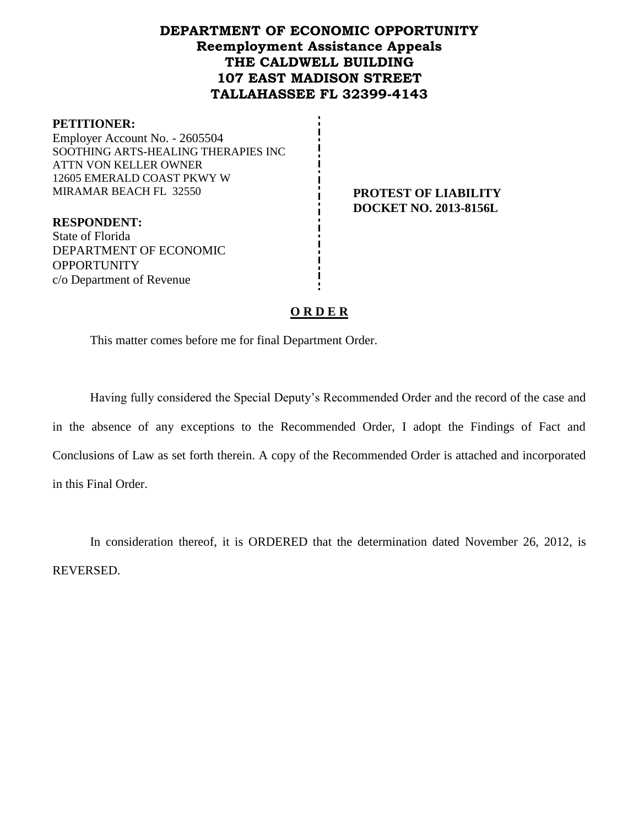## **DEPARTMENT OF ECONOMIC OPPORTUNITY Reemployment Assistance Appeals THE CALDWELL BUILDING 107 EAST MADISON STREET TALLAHASSEE FL 32399-4143**

#### **PETITIONER:**

Employer Account No. - 2605504 SOOTHING ARTS-HEALING THERAPIES INC ATTN VON KELLER OWNER 12605 EMERALD COAST PKWY W MIRAMAR BEACH FL 32550 **PROTEST OF LIABILITY**

**DOCKET NO. 2013-8156L**

**RESPONDENT:** State of Florida DEPARTMENT OF ECONOMIC **OPPORTUNITY** c/o Department of Revenue

#### **O R D E R**

This matter comes before me for final Department Order.

Having fully considered the Special Deputy's Recommended Order and the record of the case and in the absence of any exceptions to the Recommended Order, I adopt the Findings of Fact and Conclusions of Law as set forth therein. A copy of the Recommended Order is attached and incorporated in this Final Order.

In consideration thereof, it is ORDERED that the determination dated November 26, 2012, is REVERSED.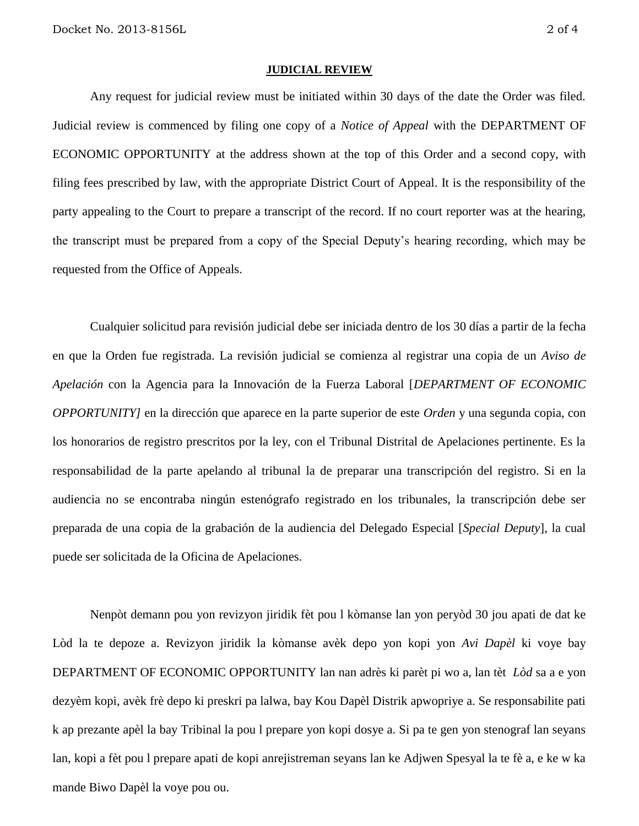#### **JUDICIAL REVIEW**

Any request for judicial review must be initiated within 30 days of the date the Order was filed. Judicial review is commenced by filing one copy of a *Notice of Appeal* with the DEPARTMENT OF ECONOMIC OPPORTUNITY at the address shown at the top of this Order and a second copy, with filing fees prescribed by law, with the appropriate District Court of Appeal. It is the responsibility of the party appealing to the Court to prepare a transcript of the record. If no court reporter was at the hearing, the transcript must be prepared from a copy of the Special Deputy's hearing recording, which may be requested from the Office of Appeals.

Cualquier solicitud para revisión judicial debe ser iniciada dentro de los 30 días a partir de la fecha en que la Orden fue registrada. La revisión judicial se comienza al registrar una copia de un *Aviso de Apelación* con la Agencia para la Innovación de la Fuerza Laboral [*DEPARTMENT OF ECONOMIC OPPORTUNITY]* en la dirección que aparece en la parte superior de este *Orden* y una segunda copia, con los honorarios de registro prescritos por la ley, con el Tribunal Distrital de Apelaciones pertinente. Es la responsabilidad de la parte apelando al tribunal la de preparar una transcripción del registro. Si en la audiencia no se encontraba ningún estenógrafo registrado en los tribunales, la transcripción debe ser preparada de una copia de la grabación de la audiencia del Delegado Especial [*Special Deputy*], la cual puede ser solicitada de la Oficina de Apelaciones.

Nenpòt demann pou yon revizyon jiridik fèt pou l kòmanse lan yon peryòd 30 jou apati de dat ke Lòd la te depoze a. Revizyon jiridik la kòmanse avèk depo yon kopi yon *Avi Dapèl* ki voye bay DEPARTMENT OF ECONOMIC OPPORTUNITY lan nan adrès ki parèt pi wo a, lan tèt *Lòd* sa a e yon dezyèm kopi, avèk frè depo ki preskri pa lalwa, bay Kou Dapèl Distrik apwopriye a. Se responsabilite pati k ap prezante apèl la bay Tribinal la pou l prepare yon kopi dosye a. Si pa te gen yon stenograf lan seyans lan, kopi a fèt pou l prepare apati de kopi anrejistreman seyans lan ke Adjwen Spesyal la te fè a, e ke w ka mande Biwo Dapèl la voye pou ou.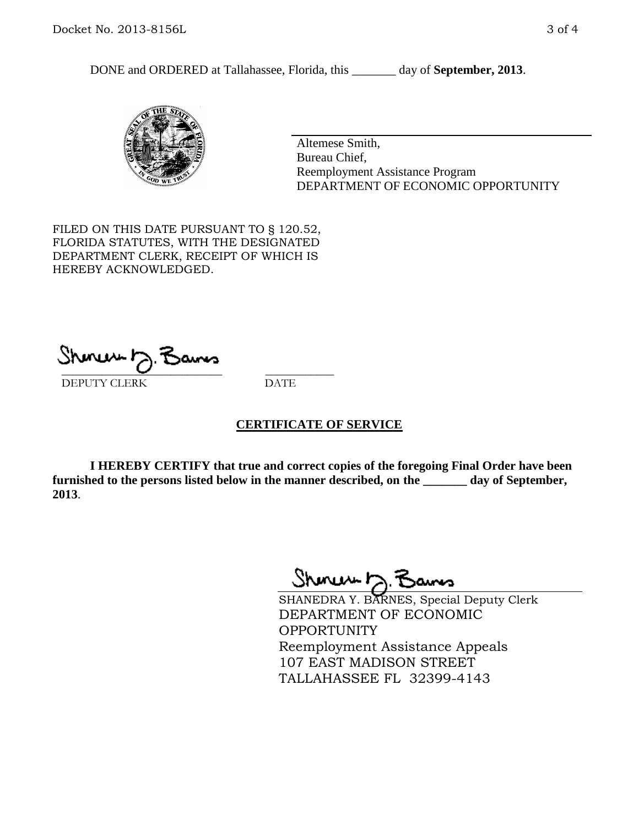DONE and ORDERED at Tallahassee, Florida, this \_\_\_\_\_\_\_ day of **September, 2013**.



Altemese Smith, Bureau Chief, Reemployment Assistance Program DEPARTMENT OF ECONOMIC OPPORTUNITY

FILED ON THIS DATE PURSUANT TO § 120.52, FLORIDA STATUTES, WITH THE DESIGNATED DEPARTMENT CLERK, RECEIPT OF WHICH IS HEREBY ACKNOWLEDGED.

 $\overline{\phantom{a}}$  ,  $\overline{\phantom{a}}$  ,  $\overline{\phantom{a}}$  ,  $\overline{\phantom{a}}$  ,  $\overline{\phantom{a}}$  ,  $\overline{\phantom{a}}$  ,  $\overline{\phantom{a}}$  ,  $\overline{\phantom{a}}$ DEPUTY CLERK DATE

#### **CERTIFICATE OF SERVICE**

**I HEREBY CERTIFY that true and correct copies of the foregoing Final Order have been furnished to the persons listed below in the manner described, on the \_\_\_\_\_\_\_ day of September, 2013**.

Shoner D. Bans

SHANEDRA Y. BARNES, Special Deputy Clerk DEPARTMENT OF ECONOMIC OPPORTUNITY Reemployment Assistance Appeals 107 EAST MADISON STREET TALLAHASSEE FL 32399-4143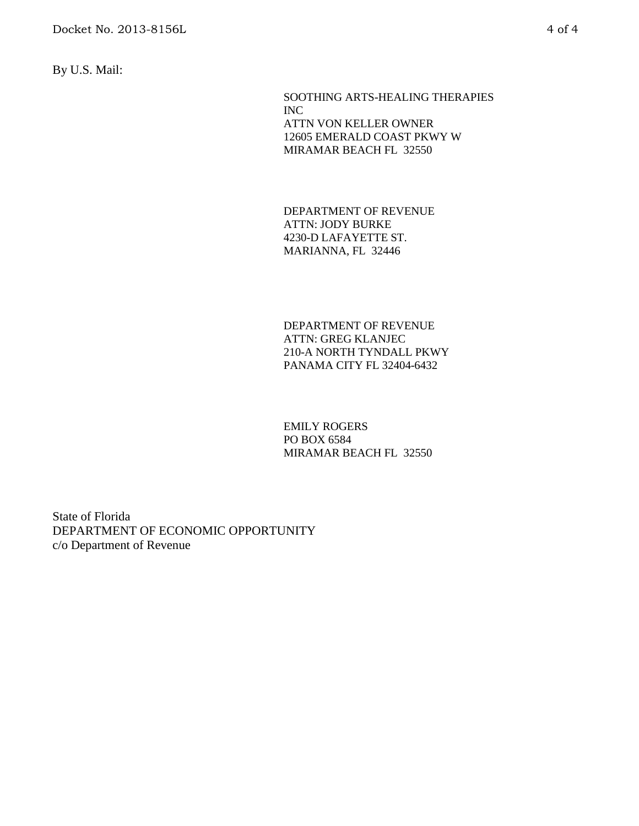By U.S. Mail:

SOOTHING ARTS-HEALING THERAPIES INC ATTN VON KELLER OWNER 12605 EMERALD COAST PKWY W MIRAMAR BEACH FL 32550

DEPARTMENT OF REVENUE ATTN: JODY BURKE 4230-D LAFAYETTE ST. MARIANNA, FL 32446

DEPARTMENT OF REVENUE ATTN: GREG KLANJEC 210-A NORTH TYNDALL PKWY PANAMA CITY FL 32404-6432

EMILY ROGERS PO BOX 6584 MIRAMAR BEACH FL 32550

State of Florida DEPARTMENT OF ECONOMIC OPPORTUNITY c/o Department of Revenue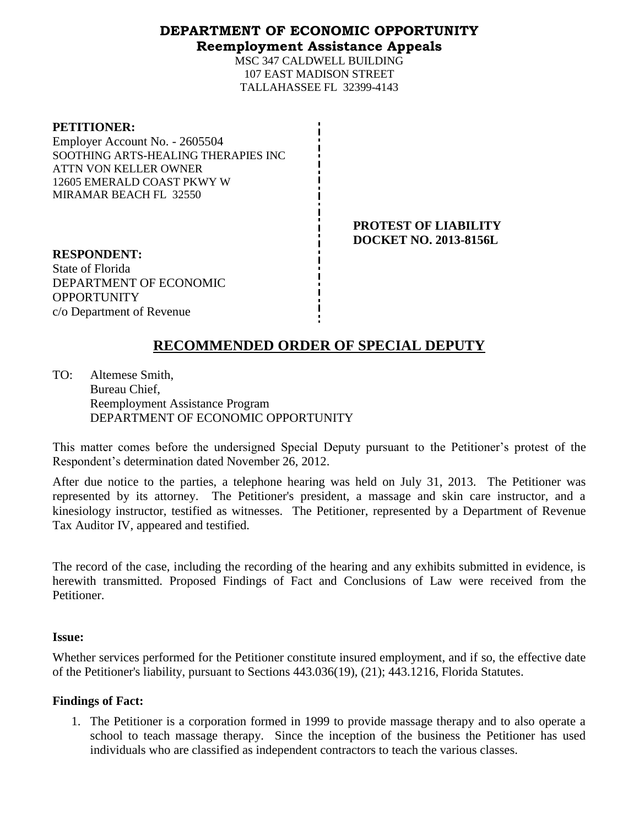### **DEPARTMENT OF ECONOMIC OPPORTUNITY Reemployment Assistance Appeals**

MSC 347 CALDWELL BUILDING 107 EAST MADISON STREET TALLAHASSEE FL 32399-4143

| <b>PETITIONER:</b>                  |
|-------------------------------------|
| Employer Account No. - 2605504      |
| SOOTHING ARTS-HEALING THERAPIES INC |
| ATTN VON KELLER OWNER               |
| 12605 EMERALD COAST PKWY W          |
| MIRAMAR BEACH FL 32550              |

**PROTEST OF LIABILITY DOCKET NO. 2013-8156L**

**RESPONDENT:** State of Florida DEPARTMENT OF ECONOMIC **OPPORTUNITY** c/o Department of Revenue

# **RECOMMENDED ORDER OF SPECIAL DEPUTY**

TO: Altemese Smith, Bureau Chief, Reemployment Assistance Program DEPARTMENT OF ECONOMIC OPPORTUNITY

This matter comes before the undersigned Special Deputy pursuant to the Petitioner's protest of the Respondent's determination dated November 26, 2012.

After due notice to the parties, a telephone hearing was held on July 31, 2013. The Petitioner was represented by its attorney. The Petitioner's president, a massage and skin care instructor, and a kinesiology instructor, testified as witnesses. The Petitioner, represented by a Department of Revenue Tax Auditor IV, appeared and testified.

The record of the case, including the recording of the hearing and any exhibits submitted in evidence, is herewith transmitted. Proposed Findings of Fact and Conclusions of Law were received from the Petitioner.

#### **Issue:**

Whether services performed for the Petitioner constitute insured employment, and if so, the effective date of the Petitioner's liability, pursuant to Sections 443.036(19), (21); 443.1216, Florida Statutes.

### **Findings of Fact:**

1. The Petitioner is a corporation formed in 1999 to provide massage therapy and to also operate a school to teach massage therapy. Since the inception of the business the Petitioner has used individuals who are classified as independent contractors to teach the various classes.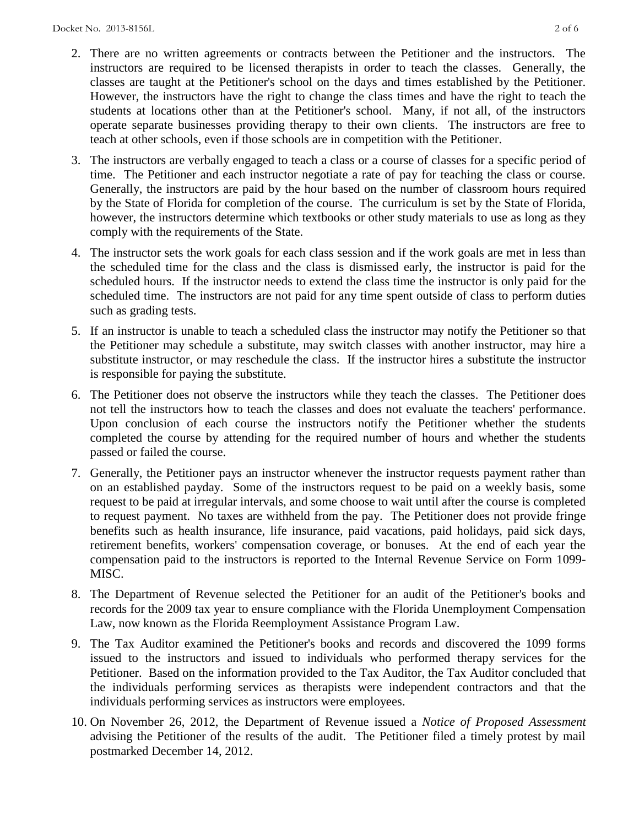- 2. There are no written agreements or contracts between the Petitioner and the instructors. The instructors are required to be licensed therapists in order to teach the classes. Generally, the classes are taught at the Petitioner's school on the days and times established by the Petitioner. However, the instructors have the right to change the class times and have the right to teach the students at locations other than at the Petitioner's school. Many, if not all, of the instructors operate separate businesses providing therapy to their own clients. The instructors are free to teach at other schools, even if those schools are in competition with the Petitioner.
- 3. The instructors are verbally engaged to teach a class or a course of classes for a specific period of time. The Petitioner and each instructor negotiate a rate of pay for teaching the class or course. Generally, the instructors are paid by the hour based on the number of classroom hours required by the State of Florida for completion of the course. The curriculum is set by the State of Florida, however, the instructors determine which textbooks or other study materials to use as long as they comply with the requirements of the State.
- 4. The instructor sets the work goals for each class session and if the work goals are met in less than the scheduled time for the class and the class is dismissed early, the instructor is paid for the scheduled hours. If the instructor needs to extend the class time the instructor is only paid for the scheduled time. The instructors are not paid for any time spent outside of class to perform duties such as grading tests.
- 5. If an instructor is unable to teach a scheduled class the instructor may notify the Petitioner so that the Petitioner may schedule a substitute, may switch classes with another instructor, may hire a substitute instructor, or may reschedule the class. If the instructor hires a substitute the instructor is responsible for paying the substitute.
- 6. The Petitioner does not observe the instructors while they teach the classes. The Petitioner does not tell the instructors how to teach the classes and does not evaluate the teachers' performance. Upon conclusion of each course the instructors notify the Petitioner whether the students completed the course by attending for the required number of hours and whether the students passed or failed the course.
- 7. Generally, the Petitioner pays an instructor whenever the instructor requests payment rather than on an established payday. Some of the instructors request to be paid on a weekly basis, some request to be paid at irregular intervals, and some choose to wait until after the course is completed to request payment. No taxes are withheld from the pay. The Petitioner does not provide fringe benefits such as health insurance, life insurance, paid vacations, paid holidays, paid sick days, retirement benefits, workers' compensation coverage, or bonuses. At the end of each year the compensation paid to the instructors is reported to the Internal Revenue Service on Form 1099- MISC.
- 8. The Department of Revenue selected the Petitioner for an audit of the Petitioner's books and records for the 2009 tax year to ensure compliance with the Florida Unemployment Compensation Law, now known as the Florida Reemployment Assistance Program Law.
- 9. The Tax Auditor examined the Petitioner's books and records and discovered the 1099 forms issued to the instructors and issued to individuals who performed therapy services for the Petitioner. Based on the information provided to the Tax Auditor, the Tax Auditor concluded that the individuals performing services as therapists were independent contractors and that the individuals performing services as instructors were employees.
- 10. On November 26, 2012, the Department of Revenue issued a *Notice of Proposed Assessment*  advising the Petitioner of the results of the audit. The Petitioner filed a timely protest by mail postmarked December 14, 2012.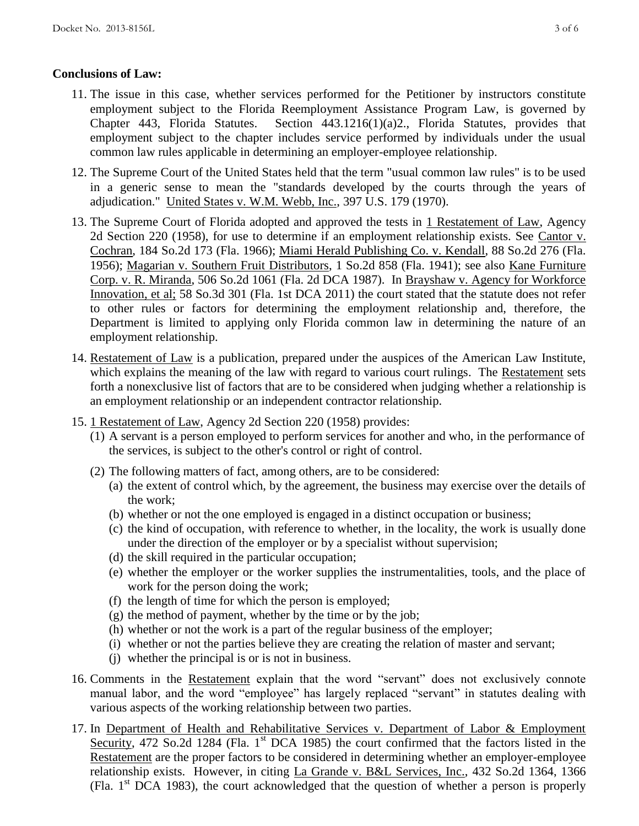### **Conclusions of Law:**

- 11. The issue in this case, whether services performed for the Petitioner by instructors constitute employment subject to the Florida Reemployment Assistance Program Law, is governed by Chapter 443, Florida Statutes. Section 443.1216(1)(a)2., Florida Statutes, provides that employment subject to the chapter includes service performed by individuals under the usual common law rules applicable in determining an employer-employee relationship.
- 12. The Supreme Court of the United States held that the term "usual common law rules" is to be used in a generic sense to mean the "standards developed by the courts through the years of adjudication." United States v. W.M. Webb, Inc., 397 U.S. 179 (1970).
- 13. The Supreme Court of Florida adopted and approved the tests in 1 Restatement of Law, Agency 2d Section 220 (1958), for use to determine if an employment relationship exists. See Cantor v. Cochran, 184 So.2d 173 (Fla. 1966); Miami Herald Publishing Co. v. Kendall, 88 So.2d 276 (Fla. 1956); Magarian v. Southern Fruit Distributors, 1 So.2d 858 (Fla. 1941); see also Kane Furniture Corp. v. R. Miranda, 506 So.2d 1061 (Fla. 2d DCA 1987). In Brayshaw v. Agency for Workforce Innovation, et al; 58 So.3d 301 (Fla. 1st DCA 2011) the court stated that the statute does not refer to other rules or factors for determining the employment relationship and, therefore, the Department is limited to applying only Florida common law in determining the nature of an employment relationship.
- 14. Restatement of Law is a publication, prepared under the auspices of the American Law Institute, which explains the meaning of the law with regard to various court rulings. The Restatement sets forth a nonexclusive list of factors that are to be considered when judging whether a relationship is an employment relationship or an independent contractor relationship.
- 15. 1 Restatement of Law, Agency 2d Section 220 (1958) provides:
	- (1) A servant is a person employed to perform services for another and who, in the performance of the services, is subject to the other's control or right of control.
	- (2) The following matters of fact, among others, are to be considered:
		- (a) the extent of control which, by the agreement, the business may exercise over the details of the work;
		- (b) whether or not the one employed is engaged in a distinct occupation or business;
		- (c) the kind of occupation, with reference to whether, in the locality, the work is usually done under the direction of the employer or by a specialist without supervision;
		- (d) the skill required in the particular occupation;
		- (e) whether the employer or the worker supplies the instrumentalities, tools, and the place of work for the person doing the work;
		- (f) the length of time for which the person is employed;
		- (g) the method of payment, whether by the time or by the job;
		- (h) whether or not the work is a part of the regular business of the employer;
		- (i) whether or not the parties believe they are creating the relation of master and servant;
		- (j) whether the principal is or is not in business.
- 16. Comments in the Restatement explain that the word "servant" does not exclusively connote manual labor, and the word "employee" has largely replaced "servant" in statutes dealing with various aspects of the working relationship between two parties.
- 17. In Department of Health and Rehabilitative Services v. Department of Labor & Employment Security, 472 So.2d 1284 (Fla. 1<sup>st</sup> DCA 1985) the court confirmed that the factors listed in the Restatement are the proper factors to be considered in determining whether an employer-employee relationship exists. However, in citing La Grande v. B&L Services, Inc., 432 So.2d 1364, 1366 (Fla.  $1<sup>st</sup> DCA$  1983), the court acknowledged that the question of whether a person is properly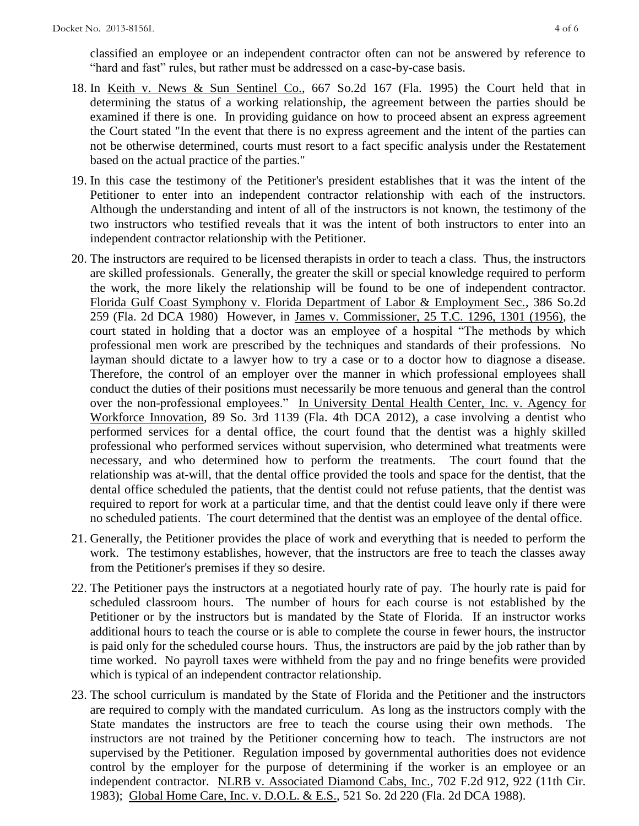classified an employee or an independent contractor often can not be answered by reference to "hard and fast" rules, but rather must be addressed on a case-by-case basis.

- 18. In Keith v. News & Sun Sentinel Co., 667 So.2d 167 (Fla. 1995) the Court held that in determining the status of a working relationship, the agreement between the parties should be examined if there is one. In providing guidance on how to proceed absent an express agreement the Court stated "In the event that there is no express agreement and the intent of the parties can not be otherwise determined, courts must resort to a fact specific analysis under the Restatement based on the actual practice of the parties."
- 19. In this case the testimony of the Petitioner's president establishes that it was the intent of the Petitioner to enter into an independent contractor relationship with each of the instructors. Although the understanding and intent of all of the instructors is not known, the testimony of the two instructors who testified reveals that it was the intent of both instructors to enter into an independent contractor relationship with the Petitioner.
- 20. The instructors are required to be licensed therapists in order to teach a class. Thus, the instructors are skilled professionals. Generally, the greater the skill or special knowledge required to perform the work, the more likely the relationship will be found to be one of independent contractor. Florida Gulf Coast Symphony v. Florida Department of Labor & Employment Sec., 386 So.2d 259 (Fla. 2d DCA 1980) However, in James v. Commissioner, 25 T.C. 1296, 1301 (1956), the court stated in holding that a doctor was an employee of a hospital "The methods by which professional men work are prescribed by the techniques and standards of their professions. No layman should dictate to a lawyer how to try a case or to a doctor how to diagnose a disease. Therefore, the control of an employer over the manner in which professional employees shall conduct the duties of their positions must necessarily be more tenuous and general than the control over the non-professional employees." In University Dental Health Center, Inc. v. Agency for Workforce Innovation, 89 So. 3rd 1139 (Fla. 4th DCA 2012), a case involving a dentist who performed services for a dental office, the court found that the dentist was a highly skilled professional who performed services without supervision, who determined what treatments were necessary, and who determined how to perform the treatments. The court found that the relationship was at-will, that the dental office provided the tools and space for the dentist, that the dental office scheduled the patients, that the dentist could not refuse patients, that the dentist was required to report for work at a particular time, and that the dentist could leave only if there were no scheduled patients. The court determined that the dentist was an employee of the dental office.
- 21. Generally, the Petitioner provides the place of work and everything that is needed to perform the work. The testimony establishes, however, that the instructors are free to teach the classes away from the Petitioner's premises if they so desire.
- 22. The Petitioner pays the instructors at a negotiated hourly rate of pay. The hourly rate is paid for scheduled classroom hours. The number of hours for each course is not established by the Petitioner or by the instructors but is mandated by the State of Florida. If an instructor works additional hours to teach the course or is able to complete the course in fewer hours, the instructor is paid only for the scheduled course hours. Thus, the instructors are paid by the job rather than by time worked. No payroll taxes were withheld from the pay and no fringe benefits were provided which is typical of an independent contractor relationship.
- 23. The school curriculum is mandated by the State of Florida and the Petitioner and the instructors are required to comply with the mandated curriculum. As long as the instructors comply with the State mandates the instructors are free to teach the course using their own methods. The instructors are not trained by the Petitioner concerning how to teach. The instructors are not supervised by the Petitioner. Regulation imposed by governmental authorities does not evidence control by the employer for the purpose of determining if the worker is an employee or an independent contractor. NLRB v. Associated Diamond Cabs, Inc., 702 F.2d 912, 922 (11th Cir. 1983); Global Home Care, Inc. v. D.O.L. & E.S., 521 So. 2d 220 (Fla. 2d DCA 1988).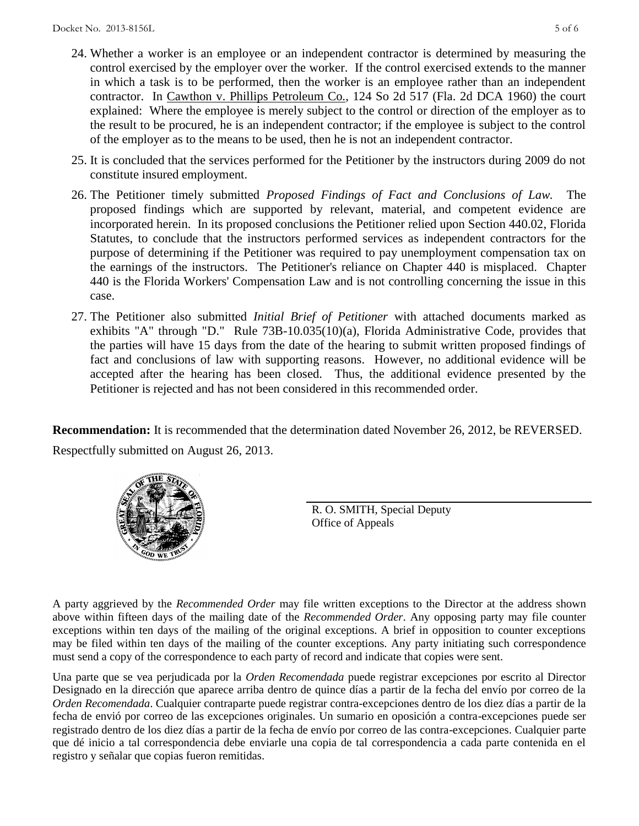- 24. Whether a worker is an employee or an independent contractor is determined by measuring the control exercised by the employer over the worker. If the control exercised extends to the manner in which a task is to be performed, then the worker is an employee rather than an independent contractor. In Cawthon v. Phillips Petroleum Co., 124 So 2d 517 (Fla. 2d DCA 1960) the court explained: Where the employee is merely subject to the control or direction of the employer as to the result to be procured, he is an independent contractor; if the employee is subject to the control of the employer as to the means to be used, then he is not an independent contractor.
- 25. It is concluded that the services performed for the Petitioner by the instructors during 2009 do not constitute insured employment.
- 26. The Petitioner timely submitted *Proposed Findings of Fact and Conclusions of Law.* The proposed findings which are supported by relevant, material, and competent evidence are incorporated herein. In its proposed conclusions the Petitioner relied upon Section 440.02, Florida Statutes, to conclude that the instructors performed services as independent contractors for the purpose of determining if the Petitioner was required to pay unemployment compensation tax on the earnings of the instructors. The Petitioner's reliance on Chapter 440 is misplaced. Chapter 440 is the Florida Workers' Compensation Law and is not controlling concerning the issue in this case.
- 27. The Petitioner also submitted *Initial Brief of Petitioner* with attached documents marked as exhibits "A" through "D." Rule 73B-10.035(10)(a), Florida Administrative Code, provides that the parties will have 15 days from the date of the hearing to submit written proposed findings of fact and conclusions of law with supporting reasons. However, no additional evidence will be accepted after the hearing has been closed. Thus, the additional evidence presented by the Petitioner is rejected and has not been considered in this recommended order.

**Recommendation:** It is recommended that the determination dated November 26, 2012, be REVERSED. Respectfully submitted on August 26, 2013.



R. O. SMITH, Special Deputy Office of Appeals

A party aggrieved by the *Recommended Order* may file written exceptions to the Director at the address shown above within fifteen days of the mailing date of the *Recommended Order*. Any opposing party may file counter exceptions within ten days of the mailing of the original exceptions. A brief in opposition to counter exceptions may be filed within ten days of the mailing of the counter exceptions. Any party initiating such correspondence must send a copy of the correspondence to each party of record and indicate that copies were sent.

Una parte que se vea perjudicada por la *Orden Recomendada* puede registrar excepciones por escrito al Director Designado en la dirección que aparece arriba dentro de quince días a partir de la fecha del envío por correo de la *Orden Recomendada*. Cualquier contraparte puede registrar contra-excepciones dentro de los diez días a partir de la fecha de envió por correo de las excepciones originales. Un sumario en oposición a contra-excepciones puede ser registrado dentro de los diez días a partir de la fecha de envío por correo de las contra-excepciones. Cualquier parte que dé inicio a tal correspondencia debe enviarle una copia de tal correspondencia a cada parte contenida en el registro y señalar que copias fueron remitidas.